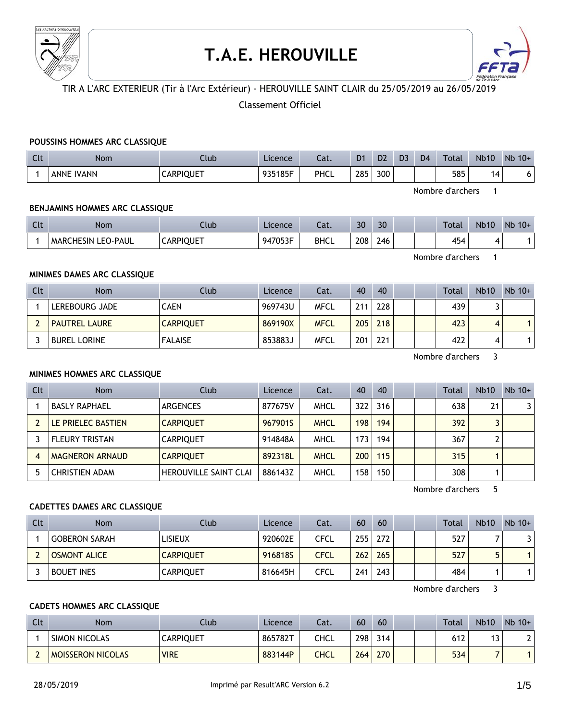

# **T.A.E. HEROUVILLE**



# TIR A L'ARC EXTERIEUR (Tir à l'Arc Extérieur) - HEROUVILLE SAINT CLAIR du 25/05/2019 au 26/05/2019

# Classement Officiel

#### **POUSSINS HOMMES ARC CLASSIQUE**

| $\sim$<br><b>CLC</b> | Nom               | Llub             | Licence | $\sim$<br>cal. | D <sub>1</sub> | D <sub>2</sub> | D3 | D <sub>4</sub> | Total | <b>Nb10</b> | $Nb$ 10+ |
|----------------------|-------------------|------------------|---------|----------------|----------------|----------------|----|----------------|-------|-------------|----------|
|                      | <b>ANNE IVANN</b> | <b>CARPIQUET</b> | 935185F | PHCL           | 285            | 300            |    |                | 585   | 14          | U.       |

Nombre d'archers 1

### **BENJAMINS HOMMES ARC CLASSIQUE**

| $\sim$<br>. . | <b>Nom</b>                   | .lub             | Licence | $\sim$<br>-al. | 30  | 30  |  | <b>Total</b> | <b>Nb10</b> | Nb<br>$10+$ |
|---------------|------------------------------|------------------|---------|----------------|-----|-----|--|--------------|-------------|-------------|
|               | <b>MARCHESIN</b><br>LEO-PAUL | <b>CARPIQUET</b> | 947053F | <b>BHCL</b>    | 208 | 246 |  | 154<br>rJ.   |             |             |

Nombre d'archers 1

## **MINIMES DAMES ARC CLASSIQUE**

| Clt | <b>Nom</b>           | Club             | Licence | Cat.        | 40  | 40  |  | Total | <b>Nb10</b> | $Nb 10+$ |
|-----|----------------------|------------------|---------|-------------|-----|-----|--|-------|-------------|----------|
|     | LEREBOURG JADE       | CAEN             | 969743U | <b>MFCL</b> | 211 | 228 |  | 439.  |             |          |
|     | <b>PAUTREL LAURE</b> | <b>CARPIQUET</b> | 869190X | <b>MFCL</b> | 205 | 218 |  | 423   | 4           |          |
|     | <b>BUREL LORINE</b>  | <b>FALAISE</b>   | 853883J | <b>MFCL</b> | 201 | 221 |  | 422   | 4           |          |

Nombre d'archers 3

#### **MINIMES HOMMES ARC CLASSIQUE**

| Clt | <b>Nom</b>             | Club                         | Licence | Cat.        | 40  | -40 |  | Total | <b>Nb10</b> | $Nb$ 10+ |
|-----|------------------------|------------------------------|---------|-------------|-----|-----|--|-------|-------------|----------|
|     | <b>BASLY RAPHAEL</b>   | ARGENCES                     | 877675V | <b>MHCL</b> | 322 | 316 |  | 638   | 21          | 3        |
|     | LE PRIELEC BASTIEN     | <b>CARPIQUET</b>             | 967901S | <b>MHCL</b> | 198 | 194 |  | 392   |             |          |
|     | <b>FLEURY TRISTAN</b>  | <b>CARPIOUET</b>             | 914848A | <b>MHCL</b> | 173 | 194 |  | 367   |             |          |
|     | <b>MAGNERON ARNAUD</b> | <b>CARPIOUET</b>             | 892318L | <b>MHCL</b> | 200 | 115 |  | 315   |             |          |
|     | <b>CHRISTIEN ADAM</b>  | <b>HEROUVILLE SAINT CLAI</b> | 886143Z | <b>MHCL</b> | 158 | 150 |  | 308   |             |          |

Nombre d'archers 5

#### **CADETTES DAMES ARC CLASSIQUE**

| Clt | Nom                 | Club             | Licence | Cat.        | 60  | 60  |  | Total | <b>Nb10</b> | $Nb$ 10+ |
|-----|---------------------|------------------|---------|-------------|-----|-----|--|-------|-------------|----------|
|     | GOBERON SARAH       | <b>LISIEUX</b>   | 920602E | CFCL        | 255 | 272 |  | 527   |             |          |
|     | <b>OSMONT ALICE</b> | <b>CARPIQUET</b> | 916818S | <b>CFCL</b> | 262 | 265 |  | 527   |             |          |
|     | <b>BOUET INES</b>   | <b>CARPIQUET</b> | 816645H | CFCL        | 241 | 243 |  | 484   |             |          |

Nombre d'archers 3

#### **CADETS HOMMES ARC CLASSIQUE**

| Clt | <b>Nom</b>               | Llub             | Licence | Cat. | 60  | 60  |  | Total | <b>Nb10</b> | $Nb$ 10+ |
|-----|--------------------------|------------------|---------|------|-----|-----|--|-------|-------------|----------|
|     | SIMON NICOLAS            | <b>CARPIQUET</b> | 865782T | CHCL | 298 | 314 |  | 612   | ر ا         |          |
|     | <b>MOISSERON NICOLAS</b> | <b>VIRE</b>      | 883144P | CHCL | 264 | 270 |  | 534   |             |          |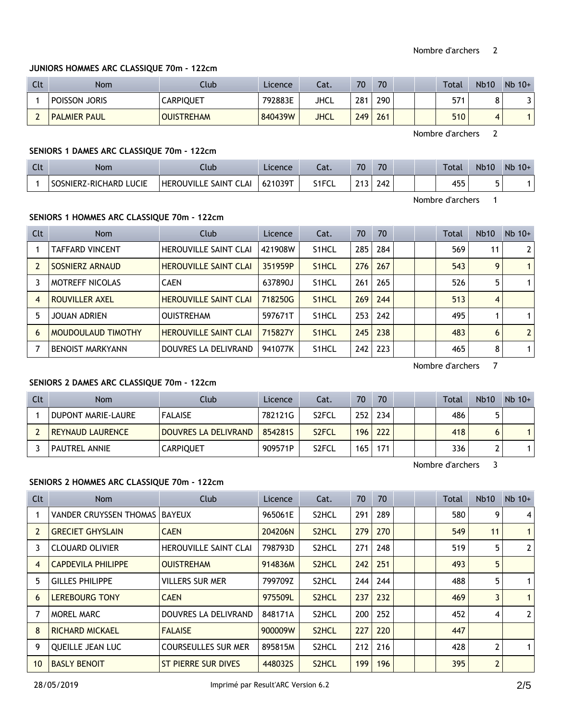#### **JUNIORS HOMMES ARC CLASSIQUE 70m - 122cm**

| Clt | Nom                 | Club              | Licence | Cat.        | 70  | 70  |  | <b>Total</b> | <b>Nb10</b> | $Nb$ 10+ |
|-----|---------------------|-------------------|---------|-------------|-----|-----|--|--------------|-------------|----------|
|     | POISSON JORIS       | <b>CARPIQUET</b>  | 792883E | JHCL        | 281 | 290 |  | 574          | O           |          |
|     | <b>PALMIER PAUL</b> | <b>OUISTREHAM</b> | 840439W | <b>JHCL</b> | 249 | 261 |  | 510          | Δ           |          |

Nombre d'archers 2

## **SENIORS 1 DAMES ARC CLASSIQUE 70m - 122cm**

| Clt | Nom                       | Llub                                    | Licence    | $\sim$<br>∟aι. | 70  | 70  |  | Total       | <b>Nb10</b> | $Nb$ 10+ |
|-----|---------------------------|-----------------------------------------|------------|----------------|-----|-----|--|-------------|-------------|----------|
|     | LUCIE<br>SOSNIERZ-RICHARD | <b>HEROUVILL</b><br>SAINT<br><b>CLA</b> | $621039$ T | S1FCL          | 242 | 242 |  | 155<br>1J J |             |          |

Nombre d'archers 1

## **SENIORS 1 HOMMES ARC CLASSIQUE 70m - 122cm**

| Clt | <b>Nom</b>              | Club                         | Licence | Cat.               | 70  | 70  |  | Total | <b>Nb10</b> | $Nb$ 10+       |
|-----|-------------------------|------------------------------|---------|--------------------|-----|-----|--|-------|-------------|----------------|
|     | <b>TAFFARD VINCENT</b>  | HEROUVILLE SAINT CLAI        | 421908W | S <sub>1</sub> HCL | 285 | 284 |  | 569   | 11          | 2 <sup>1</sup> |
|     | SOSNIERZ ARNAUD         | <b>HEROUVILLE SAINT CLAI</b> | 351959P | S <sub>1</sub> HCL | 276 | 267 |  | 543   | 9           |                |
|     | <b>MOTREFF NICOLAS</b>  | <b>CAEN</b>                  | 637890J | S <sub>1</sub> HCL | 261 | 265 |  | 526   | 5           |                |
| 4   | <b>ROUVILLER AXEL</b>   | <b>HEROUVILLE SAINT CLAI</b> | 718250G | S <sub>1</sub> HCL | 269 | 244 |  | 513   | 4           |                |
| 5   | JOUAN ADRIEN            | <b>OUISTREHAM</b>            | 597671T | S <sub>1</sub> HCL | 253 | 242 |  | 495   |             |                |
| 6   | MOUDOULAUD TIMOTHY      | <b>HEROUVILLE SAINT CLAI</b> | 715827Y | S <sub>1</sub> HCL | 245 | 238 |  | 483   | 6           | 2 <sup>1</sup> |
|     | <b>BENOIST MARKYANN</b> | DOUVRES LA DELIVRAND         | 941077K | S <sub>1</sub> HCL | 242 | 223 |  | 465   | 8           |                |

Nombre d'archers 7

## **SENIORS 2 DAMES ARC CLASSIQUE 70m - 122cm**

| Clt | Nom                     | Club                 | Licence | Cat.               | 70  | 70  |  | Total | <b>Nb10</b> | $Nb$ 10+ |
|-----|-------------------------|----------------------|---------|--------------------|-----|-----|--|-------|-------------|----------|
|     | DUPONT MARIE-LAURE      | <b>FALAISE</b>       | 782121G | S <sub>2</sub> FCL | 252 | 234 |  | 486   |             |          |
|     | <b>REYNAUD LAURENCE</b> | DOUVRES LA DELIVRAND | 8542815 | S <sub>2</sub> FCL | 196 | 222 |  | 418   |             |          |
|     | <b>PAUTREL ANNIE</b>    | <b>CARPIOUET</b>     | 909571P | S <sub>2</sub> FCL | 165 | 171 |  | 336   |             |          |

Nombre d'archers 3

## **SENIORS 2 HOMMES ARC CLASSIQUE 70m - 122cm**

| Clt | Nom                       | <b>Club</b>                  | Licence | Cat.               | 70  | 70  |  | <b>Total</b> | Nb10           | $Nb$ 10+       |
|-----|---------------------------|------------------------------|---------|--------------------|-----|-----|--|--------------|----------------|----------------|
|     | VANDER CRUYSSEN THOMAS    | <b>BAYEUX</b>                | 965061E | S2HCL              | 291 | 289 |  | 580          | 9              | 4              |
| 2   | <b>GRECIET GHYSLAIN</b>   | <b>CAEN</b>                  | 204206N | S <sub>2</sub> HCL | 279 | 270 |  | 549          | 11             | $\mathbf{1}$   |
| 3   | <b>CLOUARD OLIVIER</b>    | <b>HEROUVILLE SAINT CLAI</b> | 798793D | S2HCL              | 271 | 248 |  | 519          | 5              | $\overline{2}$ |
| 4   | <b>CAPDEVILA PHILIPPE</b> | <b>OUISTREHAM</b>            | 914836M | S <sub>2</sub> HCL | 242 | 251 |  | 493          | 5              |                |
| 5   | <b>GILLES PHILIPPE</b>    | <b>VILLERS SUR MER</b>       | 799709Z | S <sub>2</sub> HCL | 244 | 244 |  | 488          | 5              | $\mathbf 1$    |
| 6   | <b>LEREBOURG TONY</b>     | <b>CAEN</b>                  | 975509L | S <sub>2</sub> HCL | 237 | 232 |  | 469          | 3              | $\mathbf{1}$   |
|     | <b>MOREL MARC</b>         | DOUVRES LA DELIVRAND         | 848171A | S2HCL              | 200 | 252 |  | 452          | 4              | $\overline{2}$ |
| 8   | <b>RICHARD MICKAEL</b>    | <b>FALAISE</b>               | 900009W | S <sub>2</sub> HCL | 227 | 220 |  | 447          |                |                |
| 9   | <b>QUEILLE JEAN LUC</b>   | <b>COURSEULLES SUR MER</b>   | 895815M | S2HCL              | 212 | 216 |  | 428          | $\overline{2}$ | $\mathbf 1$    |
| 10  | <b>BASLY BENOIT</b>       | <b>ST PIERRE SUR DIVES</b>   | 448032S | S <sub>2</sub> HCL | 199 | 196 |  | 395          | $\overline{2}$ |                |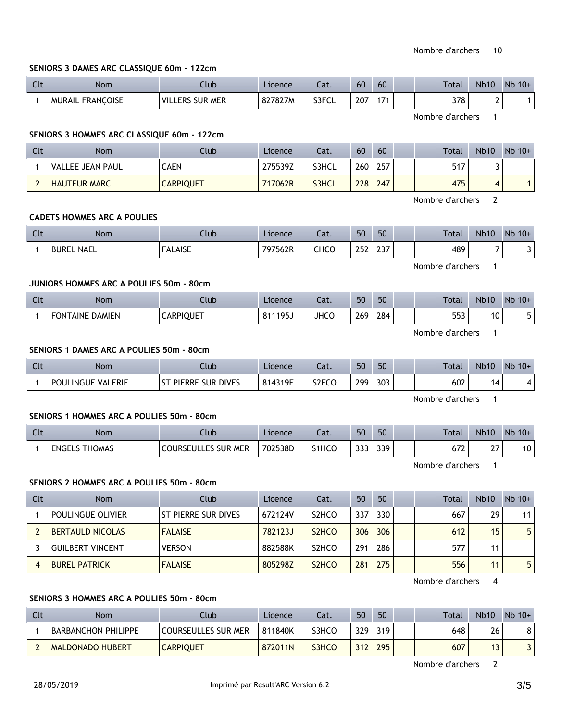#### **SENIORS 3 DAMES ARC CLASSIQUE 60m - 122cm**

| $\Gamma$<br><b>CLL</b> | <b>Nom</b>                        | Ilub            | Licence | Cat.  | 60  | 60 |  | <b>Total</b> | <b>Nb10</b> | N <sub>b</sub><br>$10+$ |
|------------------------|-----------------------------------|-----------------|---------|-------|-----|----|--|--------------|-------------|-------------------------|
|                        | <b>FRANCOISE</b><br><b>MURAIL</b> | Villers sur mer | 827827M | S3FCL | 207 |    |  | 378          | -           |                         |

Nombre d'archers 1

## **SENIORS 3 HOMMES ARC CLASSIQUE 60m - 122cm**

| Clt | Nom                 | Club             | Licence | Cat.  | 60  | 60  |  | <b>Total</b> | <b>Nb10</b> | $Nb 10+$ |
|-----|---------------------|------------------|---------|-------|-----|-----|--|--------------|-------------|----------|
|     | VALLEE JEAN PAUL    | <b>CAEN</b>      | 275539Z | S3HCL | 260 | 257 |  | 517          |             |          |
|     | <b>HAUTEUR MARC</b> | <b>CARPIQUET</b> | 717062R | S3HCL | 228 | 247 |  | 475          |             |          |

Nombre d'archers 2

#### **CADETS HOMMES ARC A POULIES**

| <b>Clt</b> | Nom               | Clubl          | <b>Licence</b> | Cat. | 50  | 50           | <b>Total</b>     | <b>Nb10</b> | $Nb 10+$ |
|------------|-------------------|----------------|----------------|------|-----|--------------|------------------|-------------|----------|
|            | <b>BUREL NAEL</b> | <b>FALAISE</b> | 797562R        | снсо | 252 | っっっ<br>، د ۲ | 489              |             | ا د      |
|            |                   |                |                |      |     |              | Nombre d'archers |             |          |

#### **JUNIORS HOMMES ARC A POULIES 50m - 80cm**

| <b>Clt</b> | Nom             | Llub             | Licence | $\sim$<br>cal. | 50  | 50  |  | Total | <b>Nb10</b> | Nb<br>$10+$ |
|------------|-----------------|------------------|---------|----------------|-----|-----|--|-------|-------------|-------------|
|            | FONTAINE DAMIEN | <b>CARPIQUET</b> | 811195J | JHCO           | 269 | 284 |  | 553   | 10          |             |

Nombre d'archers 1

#### **SENIORS 1 DAMES ARC A POULIES 50m - 80cm**

| Clt | Nom                           | Ilub                               | Licence | ۵t.                | 50               | 50  |  | Total | Nb <sub>10</sub> | Nb<br>$10+$ |
|-----|-------------------------------|------------------------------------|---------|--------------------|------------------|-----|--|-------|------------------|-------------|
|     | .ERIE<br><b>POULINGUE VAL</b> | : Sur Dives<br><b>PIERRE</b><br>CT | 814319E | S <sub>2</sub> FCO | 299 <sub>1</sub> | 303 |  | 602   | 14               |             |

Nombre d'archers 1

#### **SENIORS 1 HOMMES ARC A POULIES 50m - 80cm**

| Clt | <b>Nom</b>             | Club                                 | Licence | $\sim$<br>-al. | 50                  | 50  |  | <b>Total</b>  | <b>Nb10</b> | Nb<br>$10+$ |
|-----|------------------------|--------------------------------------|---------|----------------|---------------------|-----|--|---------------|-------------|-------------|
|     | THOMAS<br><b>ENGEL</b> | <b>MER</b><br><b>COURSEULLES SUR</b> | 702538D | S1HCO          | $\sim$ $\sim$<br>JJ | 339 |  | $-22$<br>07 Z | $\sim$<br>- | 10          |

Nombre d'archers 1

#### **SENIORS 2 HOMMES ARC A POULIES 50m - 80cm**

| Clt | <b>Nom</b>              | Club                | Licence | Cat.                           | 50  | 50  |  | Total | <b>Nb10</b> | $Nb$ 10+ |
|-----|-------------------------|---------------------|---------|--------------------------------|-----|-----|--|-------|-------------|----------|
|     | POULINGUE OLIVIER       | ST PIERRE SUR DIVES | 672124V | S <sub>2</sub> HCO             | 337 | 330 |  | 667   | 29          | 11       |
|     | <b>BERTAULD NICOLAS</b> | <b>FALAISE</b>      | 782123J | S <sub>2</sub> H <sub>CO</sub> | 306 | 306 |  | 612   | 15          | 5        |
|     | <b>GUILBERT VINCENT</b> | <b>VERSON</b>       | 882588K | S <sub>2</sub> HCO             | 291 | 286 |  | 577   | 11          |          |
|     | <b>BUREL PATRICK</b>    | <b>FALAISE</b>      | 805298Z | S <sub>2</sub> H <sub>CO</sub> | 281 | 275 |  | 556   | 11          | 5.       |

Nombre d'archers 4

## **SENIORS 3 HOMMES ARC A POULIES 50m - 80cm**

| Clt | Nom                     | .lub                       | Licence | Cat.  | 50  | 50  |  | <b>Total</b> | <b>Nb10</b> | $Nb$ 10+ |
|-----|-------------------------|----------------------------|---------|-------|-----|-----|--|--------------|-------------|----------|
|     | BARBANCHON PHILIPPE     | <b>COURSEULLES SUR MER</b> | 811840K | S3HCO | 329 | 319 |  | 648          | 26          |          |
|     | <b>MALDONADO HUBERT</b> | <b>CARPIQUET</b>           | 872011N | S3HCO | 212 | 295 |  | 607          | . J         |          |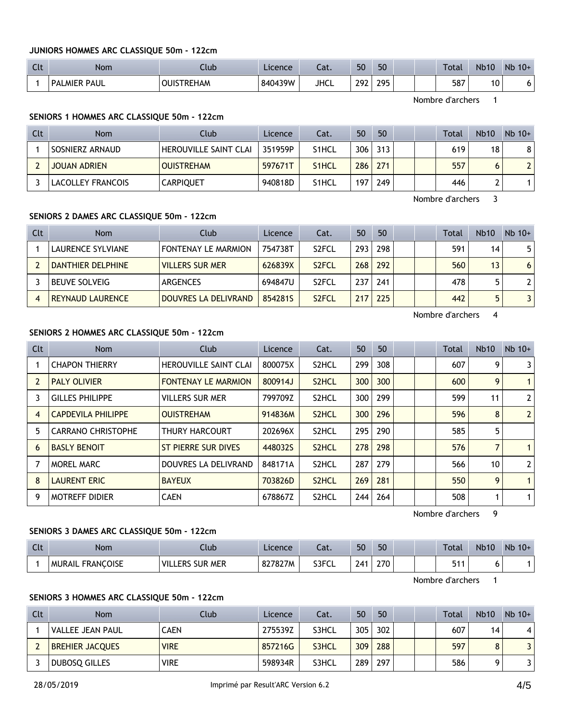#### **JUNIORS HOMMES ARC CLASSIQUE 50m - 122cm**

| $\overline{C}$<br>ີ | <b>Nom</b>         | Club                 | Licence | $\sim$<br>-aι. | 50  | 50                |  | Total | <b>Nb10</b> | Nb<br>$10+$ |
|---------------------|--------------------|----------------------|---------|----------------|-----|-------------------|--|-------|-------------|-------------|
|                     | ' MIER PAUL<br>PAI | <b>TREHAM</b><br>лшс | 840439W | <b>JHCL</b>    | วดว | 295<br><b>LIJ</b> |  | 587   | 10          | O           |

Nombre d'archers 1

#### **SENIORS 1 HOMMES ARC CLASSIQUE 50m - 122cm**

| Clt | <b>Nom</b>          | Club                         | Licence | Cat.               | 50  | 50  |  | Total | <b>Nb10</b> | $Nb$ 10+ |
|-----|---------------------|------------------------------|---------|--------------------|-----|-----|--|-------|-------------|----------|
|     | SOSNIERZ ARNAUD     | <b>HEROUVILLE SAINT CLAI</b> | 351959P | S <sub>1</sub> HCL | 306 | 313 |  | 619.  | 18          | 81       |
|     | <b>JOUAN ADRIEN</b> | <b>OUISTREHAM</b>            | 597671T | S <sub>1</sub> HCL | 286 | 271 |  | 557   | 6           |          |
|     | LACOLLEY FRANCOIS   | <b>CARPIQUET</b>             | 940818D | S <sub>1</sub> HCL | 197 | 249 |  | 446   |             |          |

Nombre d'archers 3

# **SENIORS 2 DAMES ARC CLASSIQUE 50m - 122cm**

| Clt | <b>Nom</b>               | Club                   | Licence | Cat.               | 50               | 50  |  | Total | <b>Nb10</b> | $Nb$ 10+       |
|-----|--------------------------|------------------------|---------|--------------------|------------------|-----|--|-------|-------------|----------------|
|     | LAURENCE SYLVIANE        | FONTENAY LE MARMION    | 754738T | S <sub>2</sub> FCL | 293              | 298 |  | 591   | 14          | 51             |
|     | <b>DANTHIER DELPHINE</b> | <b>VILLERS SUR MER</b> | 626839X | S <sub>2</sub> FCL | 268 <sub>1</sub> | 292 |  | 560   | 13          | 6 <sup>1</sup> |
|     | <b>BEUVE SOLVEIG</b>     | ARGENCES               | 694847U | S <sub>2</sub> FCL | 237              | 241 |  | 478   |             | 2 <sup>1</sup> |
|     | <b>REYNAUD LAURENCE</b>  | DOUVRES LA DELIVRAND   | 8542815 | S <sub>2</sub> FCL |                  | 225 |  | 442   |             |                |

Nombre d'archers 4

## **SENIORS 2 HOMMES ARC CLASSIQUE 50m - 122cm**

| Clt | Nom                       | Club                       | Licence | Cat.               | 50  | 50  |  | <b>Total</b> | Nb10 | $Nb$ 10+       |
|-----|---------------------------|----------------------------|---------|--------------------|-----|-----|--|--------------|------|----------------|
|     | <b>CHAPON THIERRY</b>     | HEROUVILLE SAINT CLAI      | 800075X | S <sub>2</sub> HCL | 299 | 308 |  | 607          | 9    | 3              |
|     | <b>PALY OLIVIER</b>       | <b>FONTENAY LE MARMION</b> | 800914J | S <sub>2</sub> HCL | 300 | 300 |  | 600          | 9    | $\mathbf{1}$   |
| 3   | <b>GILLES PHILIPPE</b>    | <b>VILLERS SUR MER</b>     | 799709Z | S <sub>2</sub> HCL | 300 | 299 |  | 599          | 11   | $\mathbf{2}$   |
| 4   | <b>CAPDEVILA PHILIPPE</b> | <b>OUISTREHAM</b>          | 914836M | S <sub>2</sub> HCL | 300 | 296 |  | 596          | 8    | $\overline{2}$ |
| 5   | <b>CARRANO CHRISTOPHE</b> | <b>THURY HARCOURT</b>      | 202696X | S2HCL              | 295 | 290 |  | 585          | 5    |                |
| 6   | <b>BASLY BENOIT</b>       | <b>ST PIERRE SUR DIVES</b> | 448032S | S <sub>2</sub> HCL | 278 | 298 |  | 576          | 7    | $\mathbf{1}$   |
|     | MOREL MARC                | DOUVRES LA DELIVRAND       | 848171A | S2HCL              | 287 | 279 |  | 566          | 10   | $\mathbf{2}$   |
| 8   | <b>LAURENT ERIC</b>       | <b>BAYEUX</b>              | 703826D | S <sub>2</sub> HCL | 269 | 281 |  | 550          | 9    | $\mathbf{1}$   |
| 9   | <b>MOTREFF DIDIER</b>     | <b>CAEN</b>                | 678867Z | S2HCL              | 244 | 264 |  | 508          |      | $\mathbf{1}$   |

Nombre d'archers 9

#### **SENIORS 3 DAMES ARC CLASSIQUE 50m - 122cm**

| $\sim$<br>นเ | Nom                               | Jub                                | Licence | $\sim$<br>cal. | 50       | 50  |  | Total      | <b>Nb10</b> | Nb<br>$10+$ |
|--------------|-----------------------------------|------------------------------------|---------|----------------|----------|-----|--|------------|-------------|-------------|
|              | <b>FRANCOISE</b><br><b>MURAIL</b> | 'VIL.<br><b>MER</b><br>SUR<br>.ERS | 827827M | S3FCL          | 741<br>∸ | 270 |  | <b>E44</b> |             |             |

Nombre d'archers 1

# **SENIORS 3 HOMMES ARC CLASSIQUE 50m - 122cm**

| Clt | <b>Nom</b>             | Club        | Licence | Cat.  | 50  | 50  |  | <b>Total</b> | <b>Nb10</b> | $Nb 10+$ |
|-----|------------------------|-------------|---------|-------|-----|-----|--|--------------|-------------|----------|
|     | VALLEE JEAN PAUL       | <b>CAEN</b> | 275539Z | S3HCL | 305 | 302 |  | 607          | 14          | 4        |
|     | <b>BREHIER JACQUES</b> | <b>VIRE</b> | 857216G | S3HCL | 309 | 288 |  | 597          |             |          |
|     | <b>DUBOSO GILLES</b>   | <b>VIRE</b> | 598934R | S3HCL | 289 | 297 |  | 586          |             |          |